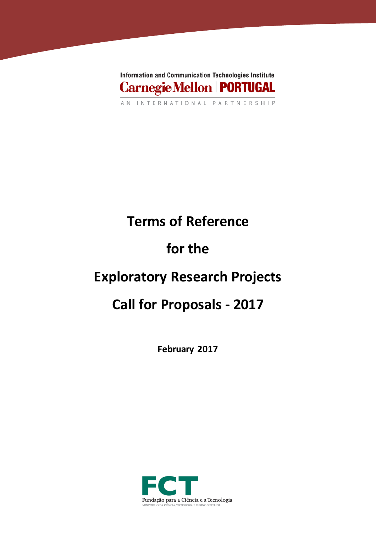

# **Terms of Reference**

# **for the**

## **Exploratory Research Projects**

## **Call for Proposals - 2017**

**February 2017**

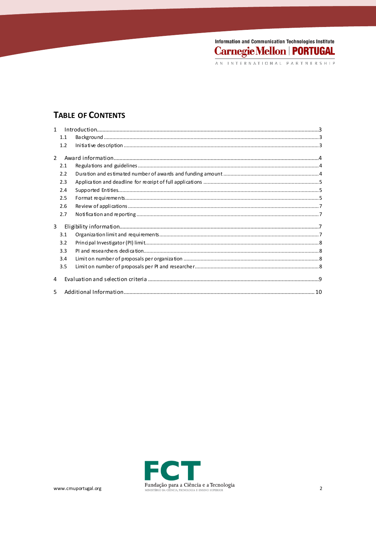## Information and Communication Technologies Institute **Carnegie Mellon | PORTUGAL**

## **TABLE OF CONTENTS**

|               | 1.1 |  |  |
|---------------|-----|--|--|
|               | 1.2 |  |  |
| $\mathcal{P}$ |     |  |  |
|               |     |  |  |
|               | 2.1 |  |  |
|               | 2.2 |  |  |
|               | 2.3 |  |  |
|               | 2.4 |  |  |
|               | 2.5 |  |  |
|               | 2.6 |  |  |
|               | 2.7 |  |  |
| 3             |     |  |  |
|               | 3.1 |  |  |
|               | 3.2 |  |  |
|               | 3.3 |  |  |
|               | 3.4 |  |  |
|               | 3.5 |  |  |
| 4             |     |  |  |
| 5             |     |  |  |

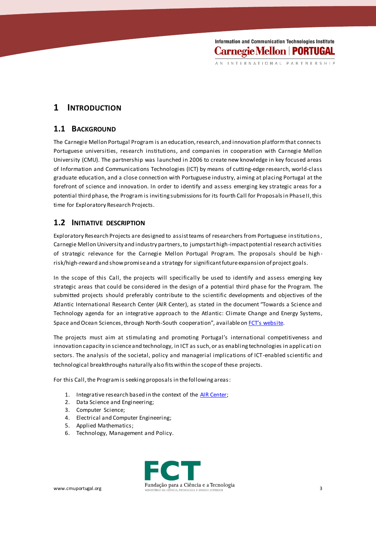INTERNATIONAL PARTNERSHIP

## **1 INTRODUCTION**

#### **1.1 BACKGROUND**

The Carnegie Mellon Portugal Program is an education, research, and innovation platform that connects Portuguese universities, research institutions, and companies in cooperation with Carnegie Mellon University (CMU). The partnership was launched in 2006 to create new knowledge in key focused areas of Information and Communications Technologies (ICT) by means of cutting-edge research, world-class graduate education, and a close connection with Portuguese industry, aiming at placing Portugal at the forefront of science and innovation. In order to identify and assess emerging key strategic areas for a potential third phase, the Program is inviting submissions for its fourth Call for Proposalsin Phase II, this time for Exploratory Research Projects.

#### **1.2 INITIATIVE DESCRIPTION**

Exploratory Research Projects are designed to assist teams of researchers from Portuguese institutions , Carnegie Mellon University and industry partners, to jumpstart high-impact potential research activities of strategic relevance for the Carnegie Mellon Portugal Program. The proposals should be high risk/high-reward and show promise and a strategy for significant future expansion of project goals.

In the scope of this Call, the projects will specifically be used to identify and assess emerging key strategic areas that could be considered in the design of a potential third phase for the Program. The submitted projects should preferably contribute to the scientific developments and objectives of the Atlantic International Research Center (AIR Center), as stated in the document "Towards a Science and Technology agenda for an integrative approach to the Atlantic: Climate Change and Energy Systems, Space and Ocean Sciences, through North-South cooperation", available o[n FCT's website](http://www.fct.pt/media/conferencias/docs/AIRCenter_whitepaper.pdf).

The projects must aim at stimulating and promoting Portugal's international competitiveness and innovation capacity in science and technology, in ICT as such, or as enabling technologies in applic ati on sectors. The analysis of the societal, policy and managerial implications of ICT-enabled scientific and technological breakthroughs naturally also fits within the scope of these projects.

For this Call, the Programis seeking proposals in the following areas:

- 1. Integrative research based in the context of the **AIR Center**;
- 2. Data Science and Engineering;
- 3. Computer Science;
- 4. Electrical and Computer Engineering;
- 5. Applied Mathematics;
- 6. Technology, Management and Policy.

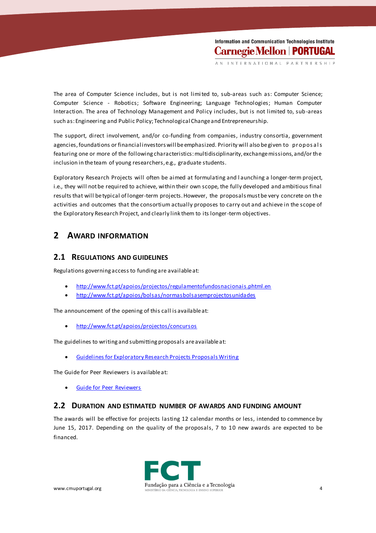The area of Computer Science includes, but is not limited to, sub-areas such as: Computer Science; Computer Science - Robotics; Software Engineering; Language Technologies; Human Computer Interaction. The area of Technology Management and Policy includes, but is not limited to, sub-areas such as: Engineering and Public Policy; Technological Change and Entrepreneurship.

The support, direct involvement, and/or co-funding from companies, industry consortia, government agencies, foundations or financial investors will be emphasized. Priority will also be given to proposals featuring one or more of the following characteristics: multidisciplinarity, exchange missions, and/or the inclusion in the team of young researchers, e.g., graduate students.

Exploratory Research Projects will often be aimed at formulating and l aunching a longer-term project, i.e., they will not be required to achieve, within their own scope, the fully developed and ambitious final results that will be typical of longer-term projects. However, the proposals must be very concrete on the activities and outcomes that the consortium actually proposes to carry out and achieve in the scope of the Exploratory Research Project, and clearly link them to its longer-term objectives.

## **2 AWARD INFORMATION**

#### **2.1 REGULATIONS AND GUIDELINES**

Regulations governing access to funding are available at:

- <http://www.fct.pt/apoios/projectos/regulamentofundosnacionais.phtml.en>
- <http://www.fct.pt/apoios/bolsas/normasbolsasemprojectosunidades>

The announcement of the opening of this call is available at:

<http://www.fct.pt/apoios/projectos/concursos>

The guidelines to writing and submitting proposals are available at:

[Guidelines for Exploratory Research Projects Proposals Writing](https://www.fct.pt/apoios/projectos/concursos/cmu/2017/docs/CMU_Portugal_Program_2017_Guidelines_for_Proposal_Writing.pdf)

The Guide for Peer Reviewers is available at:

[Guide for Peer Reviewers](https://www.fct.pt/apoios/projectos/concursos/cmu/2017/docs/CMU_Portugal_Program_2017_Guide_for_Peer_Reviewers.pdf)

#### **2.2 DURATION AND ESTIMATED NUMBER OF AWARDS AND FUNDING AMOUNT**

The awards will be effective for projects lasting 12 calendar months or less, intended to commence by June 15, 2017. Depending on the quality of the proposals, 7 to 10 new awards are expected to be financed.

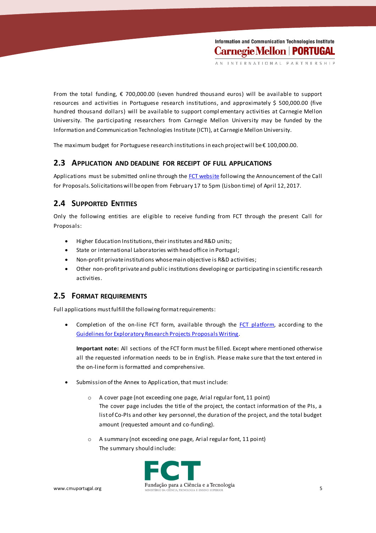From the total funding, € 700,000.00 (seven hundred thousand euros) will be available to support resources and activities in Portuguese research institutions, and approximately \$ 500,000.00 (five hundred thousand dollars) will be available to support compl ementary activities at Carnegie Mellon University. The participating researchers from Carnegie Mellon University may be funded by the Information and Communication Technologies Institute (ICTI), at Carnegie Mellon University.

The maximum budget for Portuguese research institutions in each project will be € 100,000.00.

#### **2.3 APPLICATION AND DEADLINE FOR RECEIPT OF FULL APPLICATIONS**

Applications must be submitted online through th[e FCT website](https://concursos.fct.pt/projectos/) following the Announcement of the Call for Proposals. Solicitations will be open from February 17 to 5pm (Lisbon time) of April 12, 2017.

#### **2.4 SUPPORTED ENTITIES**

Only the following entities are eligible to receive funding from FCT through the present Call for Proposals:

- Higher Education Institutions, their institutes and R&D units;
- State or international Laboratories with head office in Portugal;
- Non-profit private institutions whose main objective is R&D activities;
- Other non-profit private and public institutions developing or participating in scientific research activities.

#### **2.5 FORMAT REQUIREMENTS**

Full applications must fulfill the following format requirements:

Completion of the on-line FCT form, available through the  $FCT$  platform, according to the [Guidelines for Exploratory Research Projects Proposals Writing.](https://www.fct.pt/apoios/projectos/concursos/cmu/2017/docs/CMU_Portugal_Program_2017_Guidelines_for_Proposal_Writing.pdf)

**Important note:** All sections of the FCT form must be filled. Except where mentioned otherwise all the requested information needs to be in English. Please make sure that the text entered in the on-line form is formatted and comprehensive.

- Submission of the Annex to Application, that must include:
	- o A cover page (not exceeding one page, Arial regular font, 11 point) The cover page includes the title of the project, the contact information of the PIs, a list of Co-PIs and other key personnel, the duration of the project, and the total budget amount (requested amount and co-funding).
	- o A summary (not exceeding one page, Arial regular font, 11 point) The summary should include:

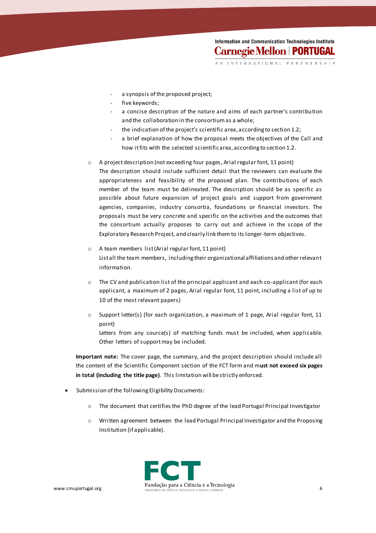Information and Communication Technologies Institute **Carnegie Mellon | PORTUGAL** 

INTERNATIONAL PARTNERSHIP

- a synopsis of the proposed project;
- five keywords;
- a concise description of the nature and aims of each partner's contribution and the collaboration in the consortium as a whole;
- the indication of the project's scientific area, according to section 1.2;
- a brief explanation of how the proposal meets the objectives of the Call and how it fits with the selected scientific area, according to section 1.2.
- o A project description (not exceeding four pages, Arial regular font, 11 point) The description should include sufficient detail that the reviewers can evaluate the appropriateness and feasibility of the proposed plan. The contributions of each member of the team must be delineated. The description should be as specific as possible about future expansion of project goals and support from government agencies, companies, industry consortia, foundations or financial investors. The proposals must be very concrete and specific on the activities and the outcomes that the consortium actually proposes to carry out and achieve in the scope of the Exploratory Research Project, and clearly link them to its longer-term objectives.
- o A team members list (Arial regular font, 11 point) List all the team members, including their organizational affiliations and other relevant information.
- $\circ$  The CV and publication list of the principal applicant and each co-applicant (for each applicant, a maximum of 2 pages, Arial regular font, 11 point, including a list of up to 10 of the most relevant papers)
- $\circ$  Support letter(s) (for each organization, a maximum of 1 page, Arial regular font, 11 point)
	- Letters from any source(s) of matching funds must be included, when applicable. Other letters of support may be included.

**Important note:** The cover page, the summary, and the project description should include all the content of the Scientific Component section of the FCT form and m**ust not exceed six pages in total (including the title page)**. This limitation will be strictly enforced.

- Submission of the following Eligibility Documents:
	- $\circ$  The document that certifies the PhD degree of the lead Portugal Principal Investigator
	- o Written agreement between the lead Portugal Principal Investigator and the Proposing Institution (if applicable).

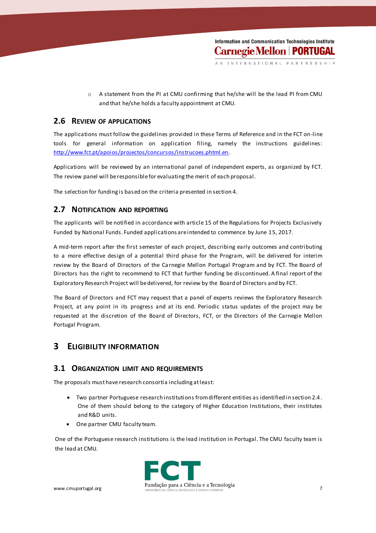o A statement from the PI at CMU confirming that he/she will be the lead PI from CMU and that he/she holds a faculty appointment at CMU.

#### **2.6 REVIEW OF APPLICATIONS**

The applications must follow the guidelines provided in these Terms of Reference and in the FCT on-line tools for general information on application filing, namely the instructions guidelines: [http://www.fct.pt/apoios/projectos/concursos/instrucoes.phtml.en.](http://www.fct.pt/apoios/projectos/concursos/instrucoes.phtml.en)

Applications will be reviewed by an international panel of independent experts, as organized by FCT. The review panel will be responsible for evaluating the merit of each proposal.

The selection for funding is based on the criteria presented in section 4.

### **2.7 NOTIFICATION AND REPORTING**

The applicants will be notified in accordance with article 15 of the Regulations for Projects Exclusively Funded by National Funds. Funded applications are intended to commence by June 15, 2017.

A mid-term report after the first semester of each project, describing early outcomes and contributing to a more effective design of a potential third phase for the Program, will be delivered for interim review by the Board of Directors of the Carnegie Mellon Portugal Program and by FCT. The Board of Directors has the right to recommend to FCT that further funding be discontinued. A final report of the Exploratory Research Project will be delivered, for review by the Board of Directors and by FCT.

The Board of Directors and FCT may request that a panel of experts reviews the Exploratory Research Project, at any point in its progress and at its end. Periodic status updates of the project may be requested at the discretion of the Board of Directors, FCT, or the Directors of the Carnegie Mellon Portugal Program.

## **3 ELIGIBILITY INFORMATION**

#### **3.1 ORGANIZATION LIMIT AND REQUIREMENTS**

The proposals must have research consortia including at least:

- Two partner Portuguese research institutions from different entities as identified in section 2.4. One of them should belong to the category of Higher Education Institutions, their institutes and R&D units.
- One partner CMU faculty team.

One of the Portuguese research institutions is the lead institution in Portugal. The CMU faculty team is the lead at CMU.

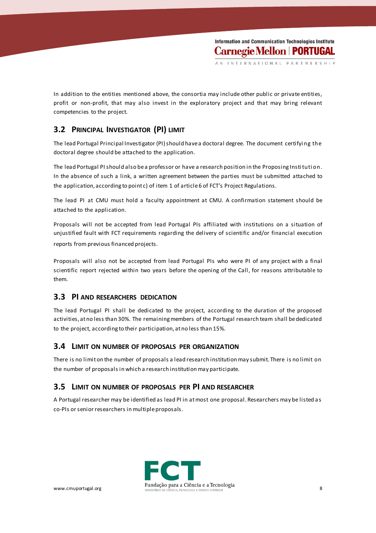In addition to the entities mentioned above, the consortia may include other public or private entities, profit or non-profit, that may also invest in the exploratory project and that may bring relevant competencies to the project.

## **3.2 PRINCIPAL INVESTIGATOR (PI) LIMIT**

The lead Portugal Principal Investigator (PI) should have a doctoral degree. The document certifyi ng the doctoral degree should be attached to the application.

The lead Portugal PI should also bea professor or have a research position in the Proposing Insti tuti on. In the absence of such a link, a written agreement between the parties must be submitted attached to the application, according to point c) of item 1 of article 6 of FCT's Project Regulations.

The lead PI at CMU must hold a faculty appointment at CMU. A confirmation statement should be attached to the application.

Proposals will not be accepted from lead Portugal PIs affiliated with institutions on a situation of unjustified fault with FCT requirements regarding the delivery of scientific and/or financial execution reports from previous financed projects.

Proposals will also not be accepted from lead Portugal PIs who were PI of any project with a final scientific report rejected within two years before the opening of the Call, for reasons attributable to them.

### **3.3 PI AND RESEARCHERS DEDICATION**

The lead Portugal PI shall be dedicated to the project, according to the duration of the proposed activities, at no less than 30%. The remaining members of the Portugal research team shall be dedicated to the project, according to their participation, at no less than 15%.

#### **3.4 LIMIT ON NUMBER OF PROPOSALS PER ORGANIZATION**

There is no limit on the number of proposals a lead research institution may submit. There is no limit on the number of proposals in which a research institution may participate.

#### **3.5 LIMIT ON NUMBER OF PROPOSALS PER PI AND RESEARCHER**

A Portugal researcher may be identified as lead PI in at most one proposal. Researchers may be listed a s co-PIs or senior researchers in multiple proposals.

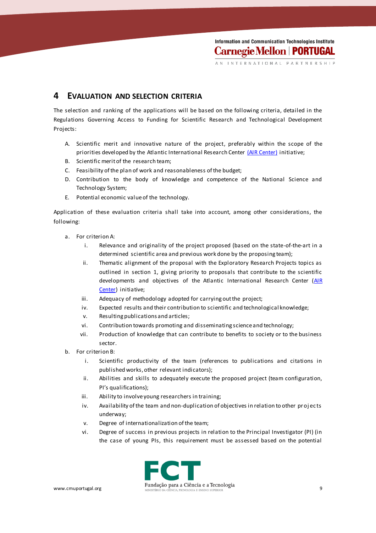Information and Communication Technologies Institute **Carnegie Mellon | PORTUGAL** 

### **4 EVALUATION AND SELECTION CRITERIA**

The selection and ranking of the applications will be based on the following criteria, detailed in the Regulations Governing Access to Funding for Scientific Research and Technological Development Projects:

- A. Scientific merit and innovative nature of the project, preferably within the scope of the priorities developed by the Atlantic International Research Center [\(AIR Center\)](http://www.fct.pt/media/conferencias/docs/AIRCenter_whitepaper.pdf) initiative;
- B. Scientific merit of the research team;
- C. Feasibility of the plan of work and reasonableness of the budget;
- D. Contribution to the body of knowledge and competence of the National Science and Technology System;
- E. Potential economic value of the technology.

Application of these evaluation criteria shall take into account, among other considerations, the following:

- a. For criterion A:
	- i. Relevance and originality of the project proposed (based on the state-of-the-art in a determined scientific area and previous work done by the proposing team);
	- ii. Thematic alignment of the proposal with the Exploratory Research Projects topics as outlined in section 1, giving priority to proposals that contribute to the scientific developments and objectives of the Atlantic International Research Center (AIR [Center\)](http://www.fct.pt/media/conferencias/docs/AIRCenter_whitepaper.pdf) initiative;
	- iii. Adequacy of methodology adopted for carrying out the project;
	- iv. Expected results and their contribution to scientific and technological knowledge;
	- v. Resulting publications and articles;
	- vi. Contribution towards promoting and disseminating science and technology;
	- vii. Production of knowledge that can contribute to benefits to society or to the business sector.
- b. For criterion B:
	- i. Scientific productivity of the team (references to publications and citations in published works, other relevant indicators);
	- ii. Abilities and skills to adequately execute the proposed project (team configuration, PI's qualifications);
	- iii. Ability to involve young researchers in training;
	- iv. Availability of the team and non-duplication of objectives in relation to other projects underway;
	- v. Degree of internationalization of the team;
	- vi. Degree of success in previous projects in relation to the Principal Investigator (PI) (in the case of young PIs, this requirement must be assessed based on the potential